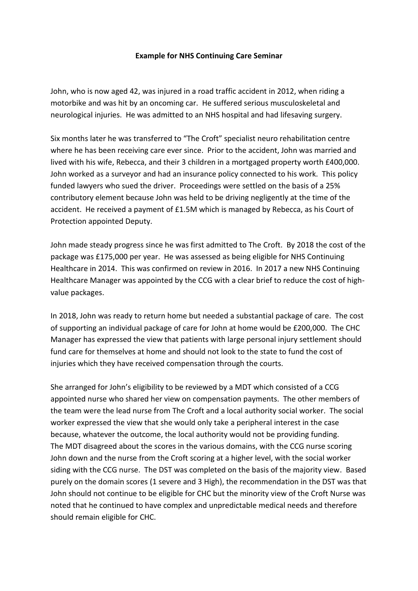## **Example for NHS Continuing Care Seminar**

John, who is now aged 42, was injured in a road traffic accident in 2012, when riding a motorbike and was hit by an oncoming car. He suffered serious musculoskeletal and neurological injuries. He was admitted to an NHS hospital and had lifesaving surgery.

Six months later he was transferred to "The Croft" specialist neuro rehabilitation centre where he has been receiving care ever since. Prior to the accident, John was married and lived with his wife, Rebecca, and their 3 children in a mortgaged property worth £400,000. John worked as a surveyor and had an insurance policy connected to his work. This policy funded lawyers who sued the driver. Proceedings were settled on the basis of a 25% contributory element because John was held to be driving negligently at the time of the accident. He received a payment of £1.5M which is managed by Rebecca, as his Court of Protection appointed Deputy.

John made steady progress since he was first admitted to The Croft. By 2018 the cost of the package was £175,000 per year. He was assessed as being eligible for NHS Continuing Healthcare in 2014. This was confirmed on review in 2016. In 2017 a new NHS Continuing Healthcare Manager was appointed by the CCG with a clear brief to reduce the cost of highvalue packages.

In 2018, John was ready to return home but needed a substantial package of care. The cost of supporting an individual package of care for John at home would be £200,000. The CHC Manager has expressed the view that patients with large personal injury settlement should fund care for themselves at home and should not look to the state to fund the cost of injuries which they have received compensation through the courts.

She arranged for John's eligibility to be reviewed by a MDT which consisted of a CCG appointed nurse who shared her view on compensation payments. The other members of the team were the lead nurse from The Croft and a local authority social worker. The social worker expressed the view that she would only take a peripheral interest in the case because, whatever the outcome, the local authority would not be providing funding. The MDT disagreed about the scores in the various domains, with the CCG nurse scoring John down and the nurse from the Croft scoring at a higher level, with the social worker siding with the CCG nurse. The DST was completed on the basis of the majority view. Based purely on the domain scores (1 severe and 3 High), the recommendation in the DST was that John should not continue to be eligible for CHC but the minority view of the Croft Nurse was noted that he continued to have complex and unpredictable medical needs and therefore should remain eligible for CHC.